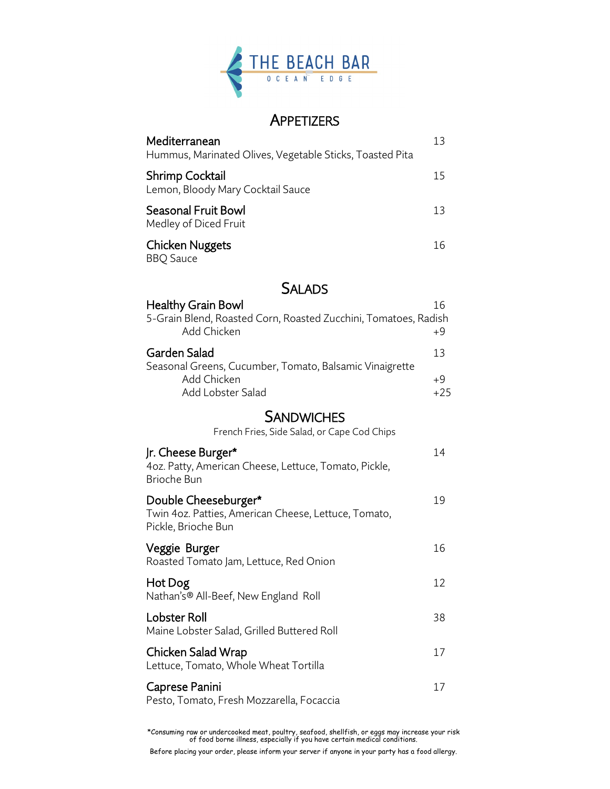

# **APPETIZERS**

| Mediterranean<br>Hummus, Marinated Olives, Vegetable Sticks, Toasted Pita | 13 |
|---------------------------------------------------------------------------|----|
| <b>Shrimp Cocktail</b><br>Lemon, Bloody Mary Cocktail Sauce               | 15 |
| Seasonal Fruit Bowl<br>Medley of Diced Fruit                              | 13 |
| Chicken Nuggets<br><b>BBQ</b> Sauce                                       | 16 |

### **SALADS**

| <b>Healthy Grain Bowl</b>                                                      | 16    |
|--------------------------------------------------------------------------------|-------|
| 5-Grain Blend, Roasted Corn, Roasted Zucchini, Tomatoes, Radish<br>Add Chicken | $+9$  |
| Garden Salad                                                                   | 13    |
| Seasonal Greens, Cucumber, Tomato, Balsamic Vinaigrette                        |       |
| Add Chicken                                                                    | $+9$  |
| Add Lobster Salad                                                              | $+25$ |

## **SANDWICHES**

French Fries, Side Salad, or Cape Cod Chips

| Jr. Cheese Burger*<br>4oz. Patty, American Cheese, Lettuce, Tomato, Pickle,<br><b>Brioche Bun</b>   | 14 |
|-----------------------------------------------------------------------------------------------------|----|
| Double Cheeseburger*<br>Twin 4oz. Patties, American Cheese, Lettuce, Tomato,<br>Pickle, Brioche Bun | 19 |
| Veggie Burger<br>Roasted Tomato Jam, Lettuce, Red Onion                                             | 16 |
| Hot Dog<br>Nathan's® All-Beef, New England Roll                                                     | 12 |
| <b>Lobster Roll</b><br>Maine Lobster Salad, Grilled Buttered Roll                                   | 38 |
| Chicken Salad Wrap<br>Lettuce, Tomato, Whole Wheat Tortilla                                         | 17 |
| Caprese Panini<br>Pesto, Tomato, Fresh Mozzarella, Focaccia                                         | 17 |

\*Consuming raw or undercooked meat, poultry, seafood, shellfish, or eggs may increase your risk of food borne illness, especially if you have certain medical conditions.

Before placing your order, please inform your server if anyone in your party has a food allergy.